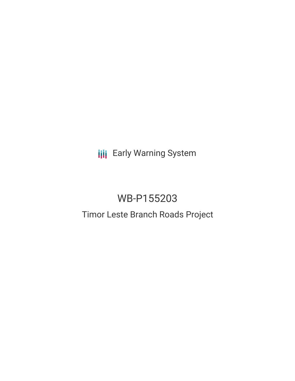**III** Early Warning System

# WB-P155203

# Timor Leste Branch Roads Project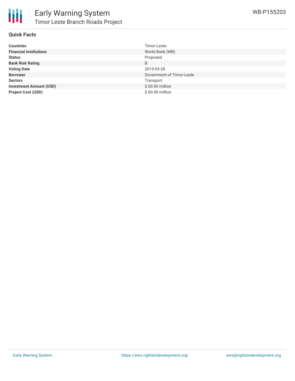

## **Quick Facts**

| <b>Countries</b>               | Timor-Leste               |
|--------------------------------|---------------------------|
| <b>Financial Institutions</b>  | World Bank (WB)           |
| <b>Status</b>                  | Proposed                  |
| <b>Bank Risk Rating</b>        | B                         |
| <b>Voting Date</b>             | 2019-03-28                |
| <b>Borrower</b>                | Government of Timor-Leste |
| <b>Sectors</b>                 | Transport                 |
| <b>Investment Amount (USD)</b> | \$60.00 million           |
| <b>Project Cost (USD)</b>      | \$60.00 million           |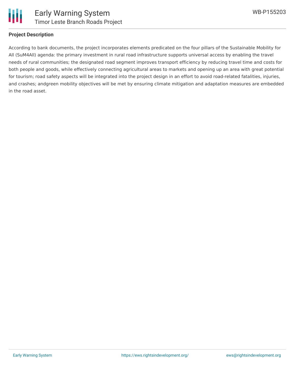

# **Project Description**

According to bank documents, the project incorporates elements predicated on the four pillars of the Sustainable Mobility for All (SuM4All) agenda: the primary investment in rural road infrastructure supports universal access by enabling the travel needs of rural communities; the designated road segment improves transport efficiency by reducing travel time and costs for both people and goods, while effectively connecting agricultural areas to markets and opening up an area with great potential for tourism; road safety aspects will be integrated into the project design in an effort to avoid road-related fatalities, injuries, and crashes; andgreen mobility objectives will be met by ensuring climate mitigation and adaptation measures are embedded in the road asset.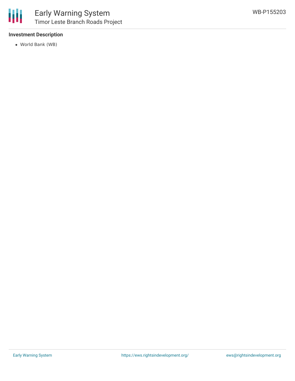

# **Investment Description**

World Bank (WB)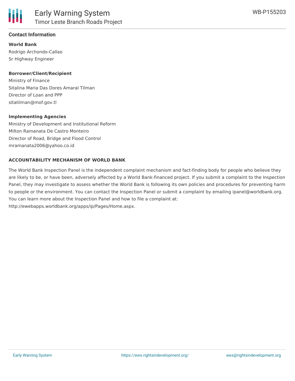

# **Contact Information**

**World Bank** Rodrigo Archondo-Callao Sr Highway Engineer

#### **Borrower/Client/Recipient**

Ministry of Finance Sitalina Maria Das Dores Amaral Tilman Director of Loan and PPP sitatilman@mof.gov.tl

#### **Implementing Agencies**

Ministry of Development and Institutional Reform Milton Ramanata De Castro Monteiro Director of Road, Bridge and Flood Control mramanata2006@yahoo.co.id

#### **ACCOUNTABILITY MECHANISM OF WORLD BANK**

The World Bank Inspection Panel is the independent complaint mechanism and fact-finding body for people who believe they are likely to be, or have been, adversely affected by a World Bank-financed project. If you submit a complaint to the Inspection Panel, they may investigate to assess whether the World Bank is following its own policies and procedures for preventing harm to people or the environment. You can contact the Inspection Panel or submit a complaint by emailing ipanel@worldbank.org. You can learn more about the Inspection Panel and how to file a complaint at: http://ewebapps.worldbank.org/apps/ip/Pages/Home.aspx.